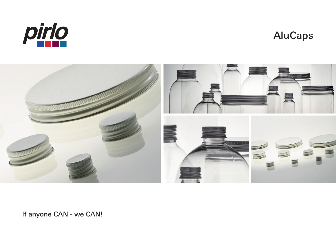

## **AluCaps**



If anyone CAN - we CAN!